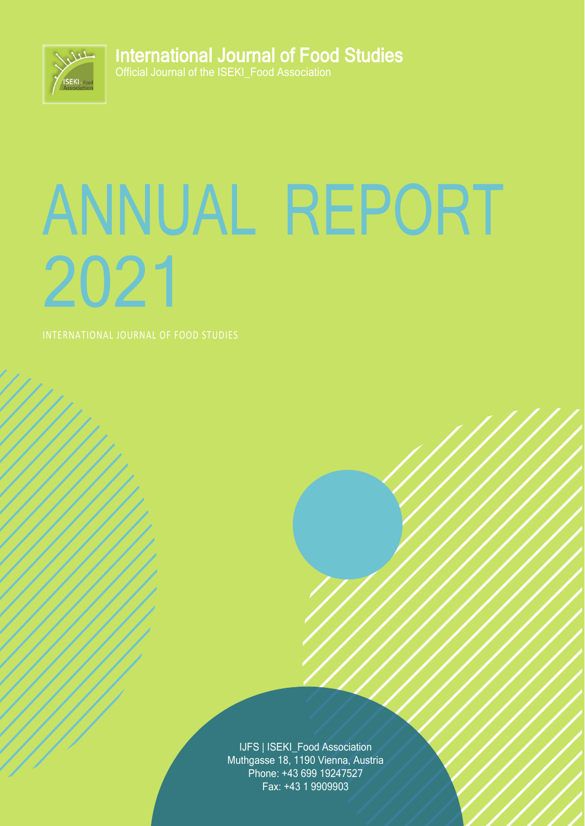

**I**nternational Journal of Food Studies

Official Journal of the ISEKI\_Food Association

# ANNUAL REPORT 2021

IJFS | ISEKI\_Food Association Muthgasse 18, 1190 Vienna, Austria Phone: +43 699 19247527 Fax: +43 1 9909903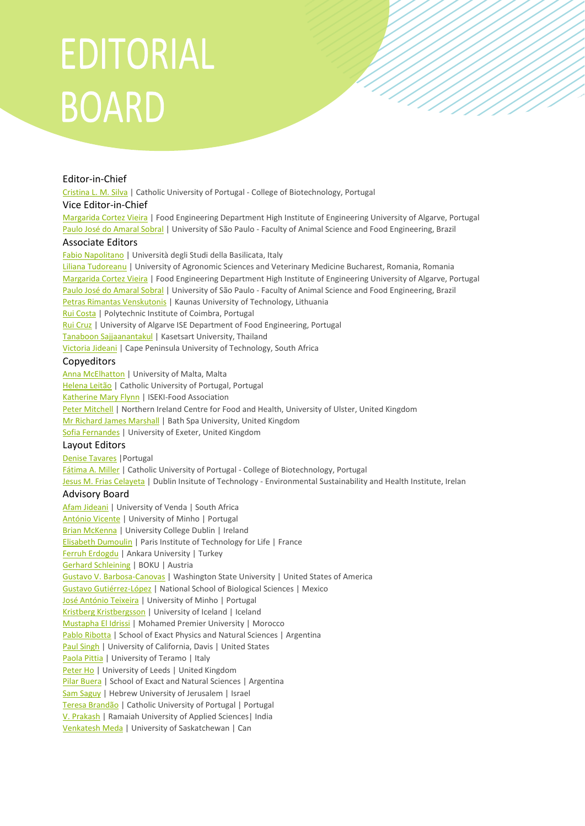## EDITORIAL **BOARD**

#### Editor-in-Chief

[Cristina](javascript:openRTWindow() L. M. Silva | Catholic University of Portugal - College of Biotechnology, Portugal

#### Vice Editor-in-Chief

[Margarida](javascript:openRTWindow() Cortez Vieira | Food Engineering Department High Institute of Engineering University of Algarve, Portugal Paulo José do [Amaral](javascript:openRTWindow() Sobral | University of São Paulo - Faculty of Animal Science and Food Engineering, Brazil

#### Associate Editors

Fabio [Napolitano](javascript:openRTWindow() | Università degli Studi della Basilicata, Italy

Liliana [Tudoreanu](javascript:openRTWindow() | University of Agronomic Sciences and Veterinary Medicine Bucharest, Romania, Romania [Margarida](javascript:openRTWindow() Cortez Vieira | Food Engineering Department High Institute of Engineering University of Algarve, Portugal Paulo José do [Amaral](javascript:openRTWindow() Sobral | University of São Paulo - Faculty of Animal Science and Food Engineering, Brazil Petras Rimantas [Venskutonis](javascript:openRTWindow() | Kaunas University of Technology, Lithuania Rui [Costa](javascript:openRTWindow() | Polytechnic Institute of Coimbra, Portugal Rui [Cruz](javascript:openRTWindow() | University of Algarve ISE Department of Food Engineering, Portugal Tanaboon [Sajjaanantakul](javascript:openRTWindow() | Kasetsart University, Thailand [Victoria](javascript:openRTWindow() Jideani | Cape Peninsula University of Technology, South Africa

#### Copyeditors

Anna [McElhatton](javascript:openRTWindow() | University of Malta, Malta [Helena](javascript:openRTWindow() Leitão | Catholic University of Portugal, Portugal [Katherine](javascript:openRTWindow() Mary Flynn | ISEKI-Food Association Peter [Mitchell](javascript:openRTWindow() | Northern Ireland Centre for Food and Health, University of Ulster, United Kingdom Mr Richard James [Marshall](javascript:openRTWindow() | Bath Spa University, United Kingdom Sofia [Fernandes](javascript:openRTWindow() | University of Exeter, United Kingdom

#### Layout Editors

Denise [Tavares](javascript:openRTWindow() |Portugal [Fátima](javascript:openRTWindow() A. Miller | Catholic University of Portugal - College of Biotechnology, Portugal Jesus M. Frias [Celayeta](javascript:openRTWindow() | Dublin Insitute of Technology - Environmental Sustainability and Health Institute, Irelan

#### Advisory Board

Afam [Jideani](http://orcid.org/0000-0002-9122-8697) | University of Venda | South Africa [António](http://orcid.org/0000-0003-3593-8878) Vicente | University of Minho | Portugal Brian [McKenna](https://orcid.org/0000-0003-1431-4900) | University College Dublin | Ireland Elisabeth [Dumoulin](https://www.scopus.com/authid/detail.uri?authorId=6602485001) | Paris Institute of Technology for Life | France Ferruh [Erdogdu](http://orcid.org/0000-0003-3047-4779) | Ankara University | Turkey Gerhard [Schleining](http://orcid.org/0000-0003-1321-9186) | BOKU | Austria Gustavo V. [Barbosa-Canovas](https://scholar.google.com/citations?user=Q9TxPwoAAAAJ&hl=en) | Washington State University | United States of America Gustavo [Gutiérrez-López](http://orcid.org/0000-0002-8171-5977) | National School of Biological Sciences | Mexico José [António](http://orcid.org/0000-0002-4918-3704) Teixeira | University of Minho | Portugal Kristberg [Kristbergsson](https://www.scopus.com/authid/detail.uri?authorId=55999956700) | University of Iceland | Iceland [Mustapha](https://orcid.org/0000-0001-7003-9734) El Idrissi | Mohamed Premier University | Morocco Pablo [Ribotta](http://orcid.org/0000-0001-7883-8856) | School of Exact Physics and Natural Sciences | Argentina Paul [Singh](http://www.rpaulsingh.com/) | University of California, Davis | United States [Paola](https://orcid.org/0000-0003-0020-9077) Pittia | University of Teramo | Italy [Peter](http://orcid.org/0000-0002-2533-0183) Ho | University of Leeds | United Kingdom Pilar [Buera](http://orcid.org/0000-0001-9290-7299) | School of Exact and Natural Sciences | Argentina Sam [Saguy](http://orcid.org/0000-0002-1570-8808) | Hebrew University of Jerusalem | Israel Teresa [Brandão](http://orcid.org/0000-0002-8857-6471) | Catholic University of Portugal | Portugal V. [Prakash](https://en.wikipedia.org/wiki/Vishweshwaraiah_Prakash) | Ramaiah University of Applied Sciences| India [Venkatesh](https://scholar.google.com/citations?user=ja-LMXsAAAAJ&hl=en) Meda | University of Saskatchewan | Can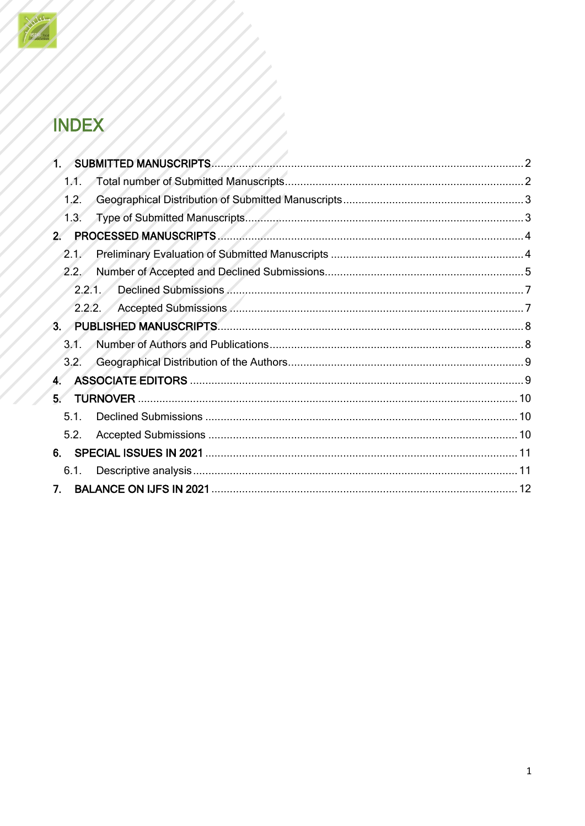

## **INDEX**

|                  | <b>SUBMITTED MANUSCRIPTS.</b> |     |
|------------------|-------------------------------|-----|
| 1.1 <sub>1</sub> |                               |     |
| 1.2.             |                               |     |
| 1.3.             |                               |     |
|                  |                               |     |
| 2.1.             |                               |     |
| 2.2.             |                               |     |
|                  | 2.2.1                         |     |
|                  | 2.2.2.                        |     |
| 3 <sub>1</sub>   |                               |     |
| 3.1 <sub>1</sub> |                               |     |
| 3.2.             |                               |     |
| 4.               |                               |     |
| 5.               | <b>TURNOVER</b>               |     |
| 5.1.             |                               |     |
| 5.2.             |                               |     |
| 6.               |                               |     |
| 6.1.             |                               |     |
| 7.               |                               | -12 |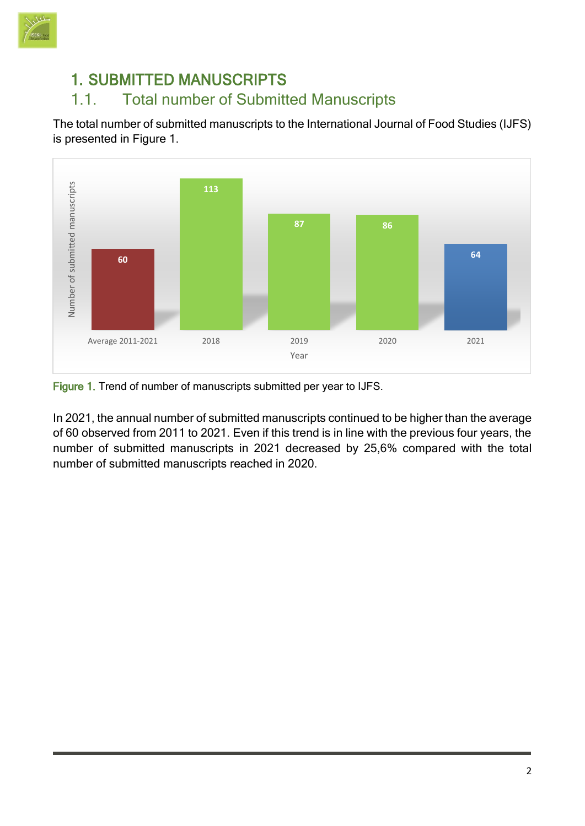

#### <span id="page-3-0"></span>1. SUBMITTED MANUSCRIPTS

#### <span id="page-3-1"></span>1.1. Total number of Submitted Manuscripts

The total number of submitted manuscripts to the International Journal of Food Studies (IJFS) is presented in Figure 1.



Figure 1. Trend of number of manuscripts submitted per year to IJFS.

In 2021, the annual number of submitted manuscripts continued to be higher than the average of 60 observed from 2011 to 2021. Even if this trend is in line with the previous four years, the number of submitted manuscripts in 2021 decreased by 25,6% compared with the total number of submitted manuscripts reached in 2020.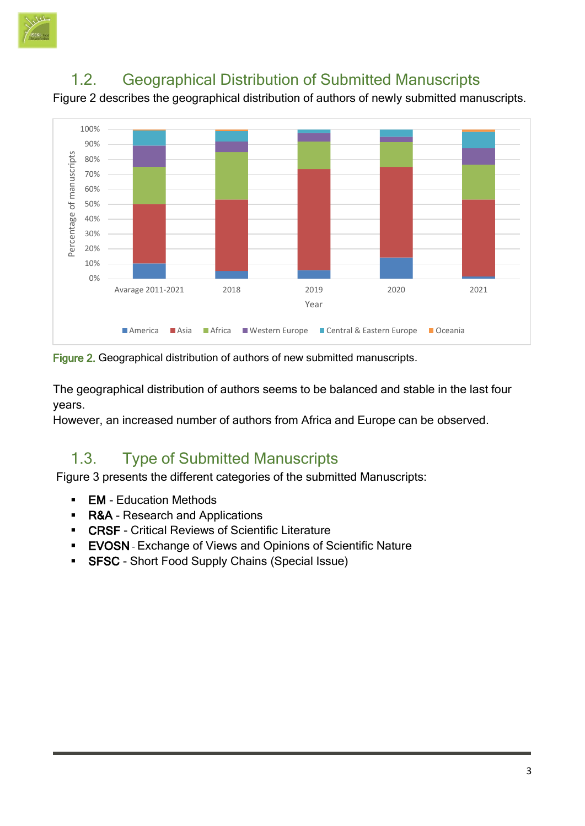

## 1.2. Geographical Distribution of Submitted Manuscripts

<span id="page-4-0"></span>Figure 2 describes the geographical distribution of authors of newly submitted manuscripts.



Figure 2. Geographical distribution of authors of new submitted manuscripts.

The geographical distribution of authors seems to be balanced and stable in the last four years.

However, an increased number of authors from Africa and Europe can be observed.

## 1.3. Type of Submitted Manuscripts

<span id="page-4-1"></span>Figure 3 presents the different categories of the submitted Manuscripts:

- EM Education Methods
- R&A Research and Applications
- **EXECT Critical Reviews of Scientific Literature**
- **EVOSN** Exchange of Views and Opinions of Scientific Nature
- **SFSC** Short Food Supply Chains (Special Issue)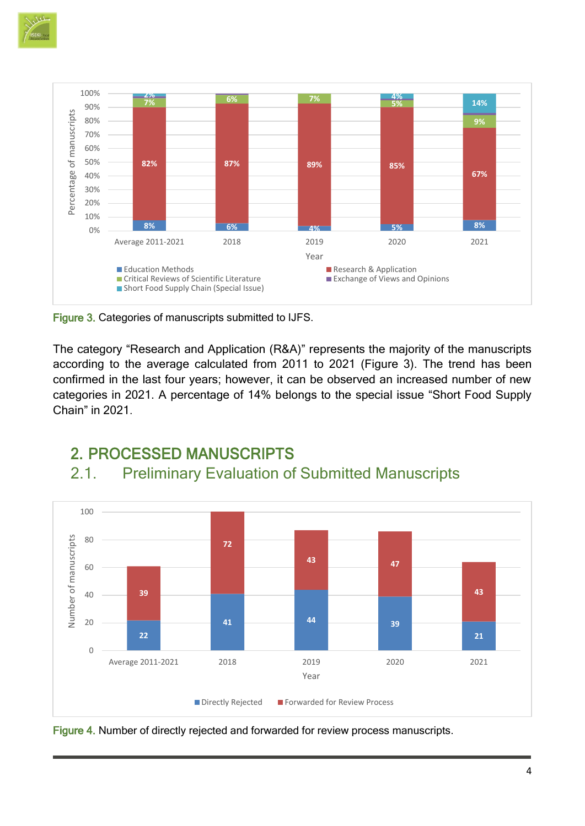



Figure 3. Categories of manuscripts submitted to IJFS.

<span id="page-5-0"></span>2. PROCESSED MANUSCRIPTS

The category "Research and Application (R&A)" represents the majority of the manuscripts according to the average calculated from 2011 to 2021 (Figure 3). The trend has been confirmed in the last four years; however, it can be observed an increased number of new categories in 2021. A percentage of 14% belongs to the special issue "Short Food Supply Chain" in 2021.

<span id="page-5-1"></span>

## 2.1. Preliminary Evaluation of Submitted Manuscripts

Figure 4. Number of directly rejected and forwarded for review process manuscripts.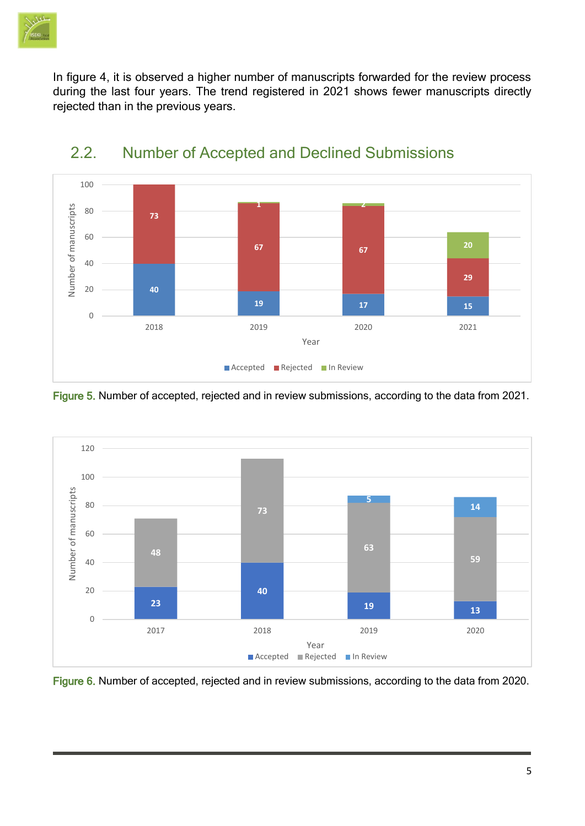

In figure 4, it is observed a higher number of manuscripts forwarded for the review process during the last four years. The trend registered in 2021 shows fewer manuscripts directly rejected than in the previous years.



#### <span id="page-6-0"></span>2.2. Number of Accepted and Declined Submissions

Figure 5. Number of accepted, rejected and in review submissions, according to the data from 2021.



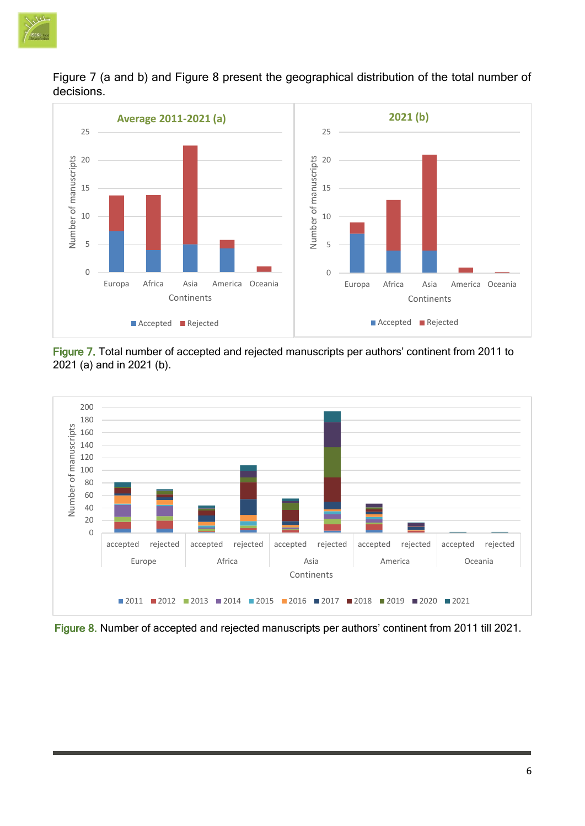

Figure 7 (a and b) and Figure 8 present the geographical distribution of the total number of decisions.



Figure 7. Total number of accepted and rejected manuscripts per authors' continent from 2011 to 2021 (a) and in 2021 (b).



Figure 8. Number of accepted and rejected manuscripts per authors' continent from 2011 till 2021.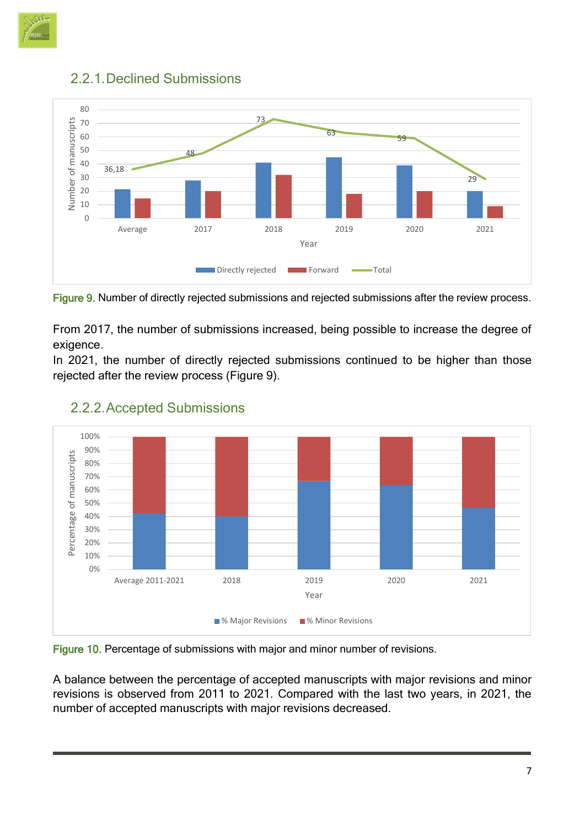



#### <span id="page-8-0"></span>2.2.1.Declined Submissions

Figure 9. Number of directly rejected submissions and rejected submissions after the review process.

From 2017, the number of submissions increased, being possible to increase the degree of exigence.

In 2021, the number of directly rejected submissions continued to be higher than those rejected after the review process (Figure 9).



#### <span id="page-8-1"></span>2.2.2.Accepted Submissions

Figure 10. Percentage of submissions with major and minor number of revisions.

A balance between the percentage of accepted manuscripts with major revisions and minor revisions is observed from 2011 to 2021. Compared with the last two years, in 2021, the number of accepted manuscripts with major revisions decreased.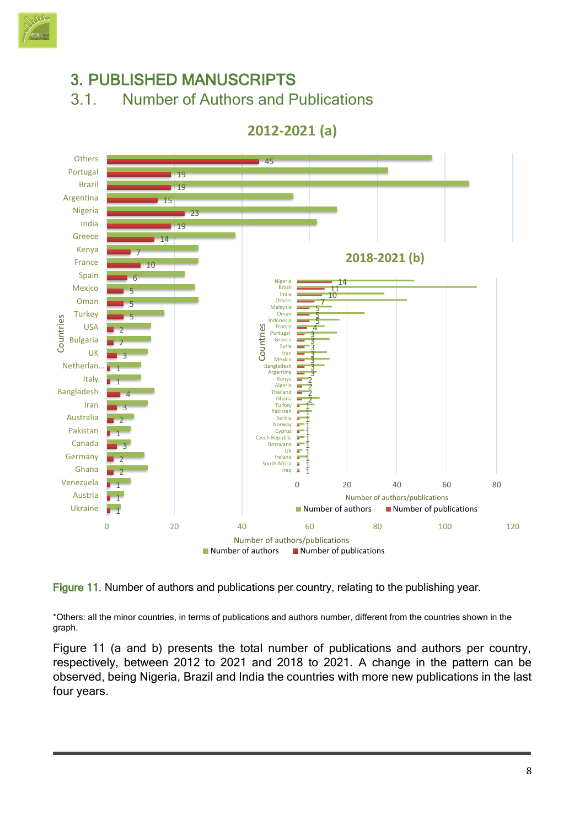

<span id="page-9-1"></span><span id="page-9-0"></span>

Figure 11. Number of authors and publications per country, relating to the publishing year.

ь

Ghana Venezuela Austria Ukraine

\*Others: all the minor countries, in terms of publications and authors number, different from the countries shown in the graph.

Figure 11 (a and b) presents the total number of publications and authors per country, respectively, between 2012 to 2021 and 2018 to 2021. A change in the pattern can be observed, being Nigeria, Brazil and India the countries with more new publications in the last four years.

0 20 40 60 80 100 120

0 20 40 60 80

Number of authors/publications

 $\blacksquare$  Number of authors  $\blacksquare$  Number of publications

Number of authors/publications

Iraq South Africa ţ

Number of authors **Number of publications**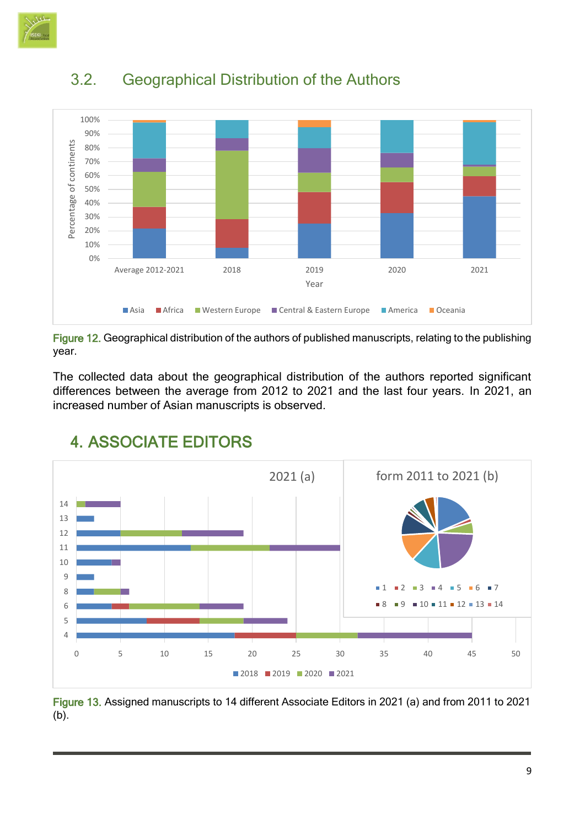



## <span id="page-10-0"></span>3.2. Geographical Distribution of the Authors

Figure 12. Geographical distribution of the authors of published manuscripts, relating to the publishing year.

The collected data about the geographical distribution of the authors reported significant differences between the average from 2012 to 2021 and the last four years. In 2021, an increased number of Asian manuscripts is observed.



## <span id="page-10-1"></span>4. ASSOCIATE EDITORS

Figure 13. Assigned manuscripts to 14 different Associate Editors in 2021 (a) and from 2011 to 2021 (b).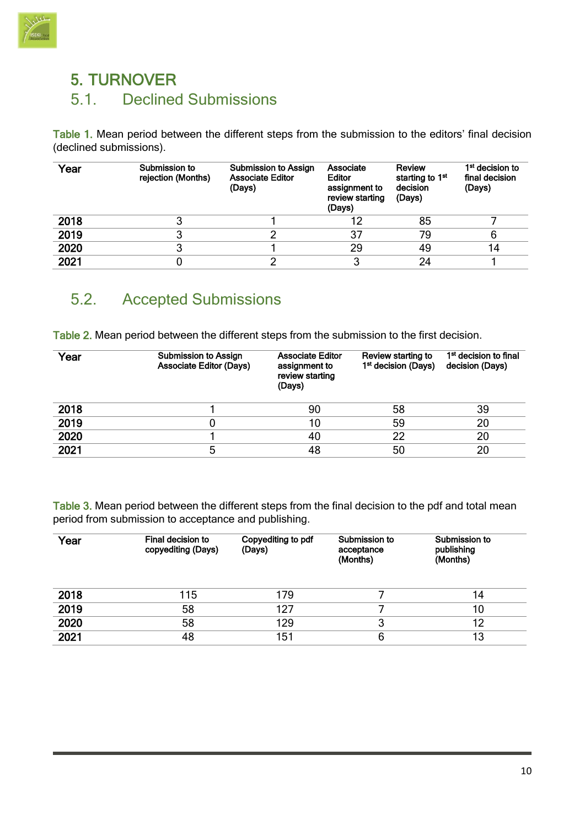

## <span id="page-11-1"></span><span id="page-11-0"></span>5. TURNOVER 5.1. Declined Submissions

Table 1. Mean period between the different steps from the submission to the editors' final decision (declined submissions).

| Year | Submission to<br>rejection (Months) | <b>Submission to Assign</b><br><b>Associate Editor</b><br>(Days) | Associate<br><b>Editor</b><br>assignment to<br>review starting<br>(Days) | Review<br>starting to 1 <sup>st</sup><br>decision<br>(Days) | 1 <sup>st</sup> decision to<br>final decision<br>(Days) |
|------|-------------------------------------|------------------------------------------------------------------|--------------------------------------------------------------------------|-------------------------------------------------------------|---------------------------------------------------------|
| 2018 |                                     |                                                                  |                                                                          | 85                                                          |                                                         |
| 2019 |                                     |                                                                  | 37                                                                       | 79                                                          |                                                         |
| 2020 |                                     |                                                                  | 29                                                                       | 49                                                          | 14                                                      |
| 2021 |                                     | ◠                                                                | າ                                                                        | 24                                                          |                                                         |

#### <span id="page-11-2"></span>5.2. Accepted Submissions

Table 2. Mean period between the different steps from the submission to the first decision.

| Year | <b>Submission to Assign</b><br><b>Associate Editor (Days)</b> | <b>Associate Editor</b><br>assignment to<br>review starting<br>(Days) | Review starting to<br>1 <sup>st</sup> decision (Days) | 1 <sup>st</sup> decision to final<br>decision (Days) |
|------|---------------------------------------------------------------|-----------------------------------------------------------------------|-------------------------------------------------------|------------------------------------------------------|
| 2018 |                                                               | 90                                                                    | 58                                                    | 39                                                   |
| 2019 |                                                               | 10                                                                    | 59                                                    | 20                                                   |
| 2020 |                                                               | 40                                                                    | 22                                                    | 20                                                   |
| 2021 | 5                                                             | 48                                                                    | 50                                                    | 20                                                   |

Table 3. Mean period between the different steps from the final decision to the pdf and total mean period from submission to acceptance and publishing.

| Year | <b>Final decision to</b><br>copyediting (Days) | Copyediting to pdf<br>(Days) | Submission to<br>acceptance<br>(Months) | Submission to<br>publishing<br>(Months) |
|------|------------------------------------------------|------------------------------|-----------------------------------------|-----------------------------------------|
| 2018 | 115                                            | 179                          |                                         | 14                                      |
| 2019 | 58                                             | 127                          |                                         | 10                                      |
| 2020 | 58                                             | 129                          | 3                                       | 12                                      |
| 2021 | 48                                             | 151                          | 6                                       | 13                                      |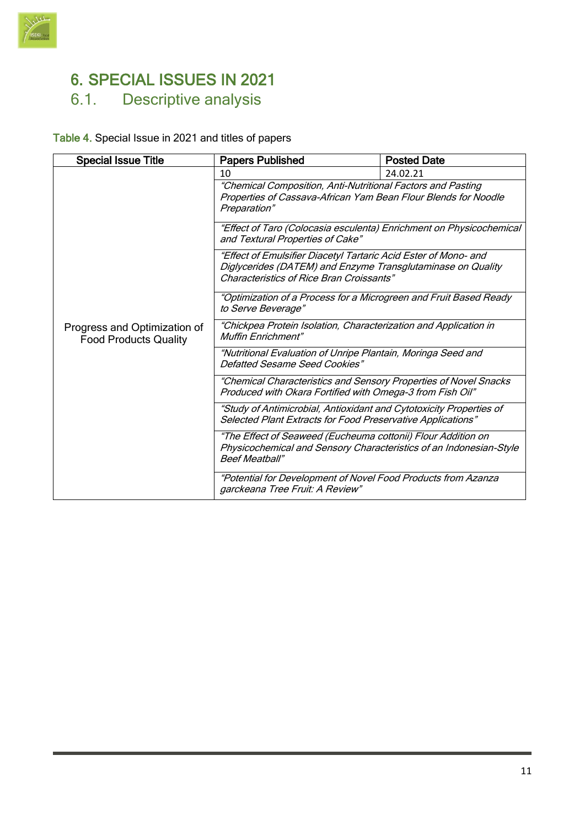

## <span id="page-12-0"></span>6. SPECIAL ISSUES IN 2021

## <span id="page-12-1"></span>6.1. Descriptive analysis

#### Table 4. Special Issue in 2021 and titles of papers

| <b>Special Issue Title</b>                                   | <b>Papers Published</b>                                                                                                                                                    | <b>Posted Date</b> |  |
|--------------------------------------------------------------|----------------------------------------------------------------------------------------------------------------------------------------------------------------------------|--------------------|--|
|                                                              | 10                                                                                                                                                                         | 24.02.21           |  |
|                                                              | "Chemical Composition, Anti-Nutritional Factors and Pasting<br>Properties of Cassava-African Yam Bean Flour Blends for Noodle<br>Preparation"                              |                    |  |
|                                                              | "Effect of Taro (Colocasia esculenta) Enrichment on Physicochemical<br>and Textural Properties of Cake"                                                                    |                    |  |
|                                                              | "Effect of Emulsifier Diacetyl Tartaric Acid Ester of Mono- and<br>Diglycerides (DATEM) and Enzyme Transglutaminase on Quality<br>Characteristics of Rice Bran Croissants" |                    |  |
|                                                              | "Optimization of a Process for a Microgreen and Fruit Based Ready<br>to Serve Beverage"                                                                                    |                    |  |
| Progress and Optimization of<br><b>Food Products Quality</b> | "Chickpea Protein Isolation, Characterization and Application in<br><b>Muffin Enrichment"</b>                                                                              |                    |  |
|                                                              | "Nutritional Evaluation of Unripe Plantain, Moringa Seed and<br>Defatted Sesame Seed Cookies"                                                                              |                    |  |
|                                                              | "Chemical Characteristics and Sensory Properties of Novel Snacks<br>Produced with Okara Fortified with Omega-3 from Fish Oil"                                              |                    |  |
|                                                              | "Study of Antimicrobial, Antioxidant and Cytotoxicity Properties of<br>Selected Plant Extracts for Food Preservative Applications"                                         |                    |  |
|                                                              | "The Effect of Seaweed (Eucheuma cottonii) Flour Addition on<br>Physicochemical and Sensory Characteristics of an Indonesian-Style<br><b>Beef Meatball"</b>                |                    |  |
|                                                              | "Potential for Development of Novel Food Products from Azanza<br>garckeana Tree Fruit: A Review"                                                                           |                    |  |